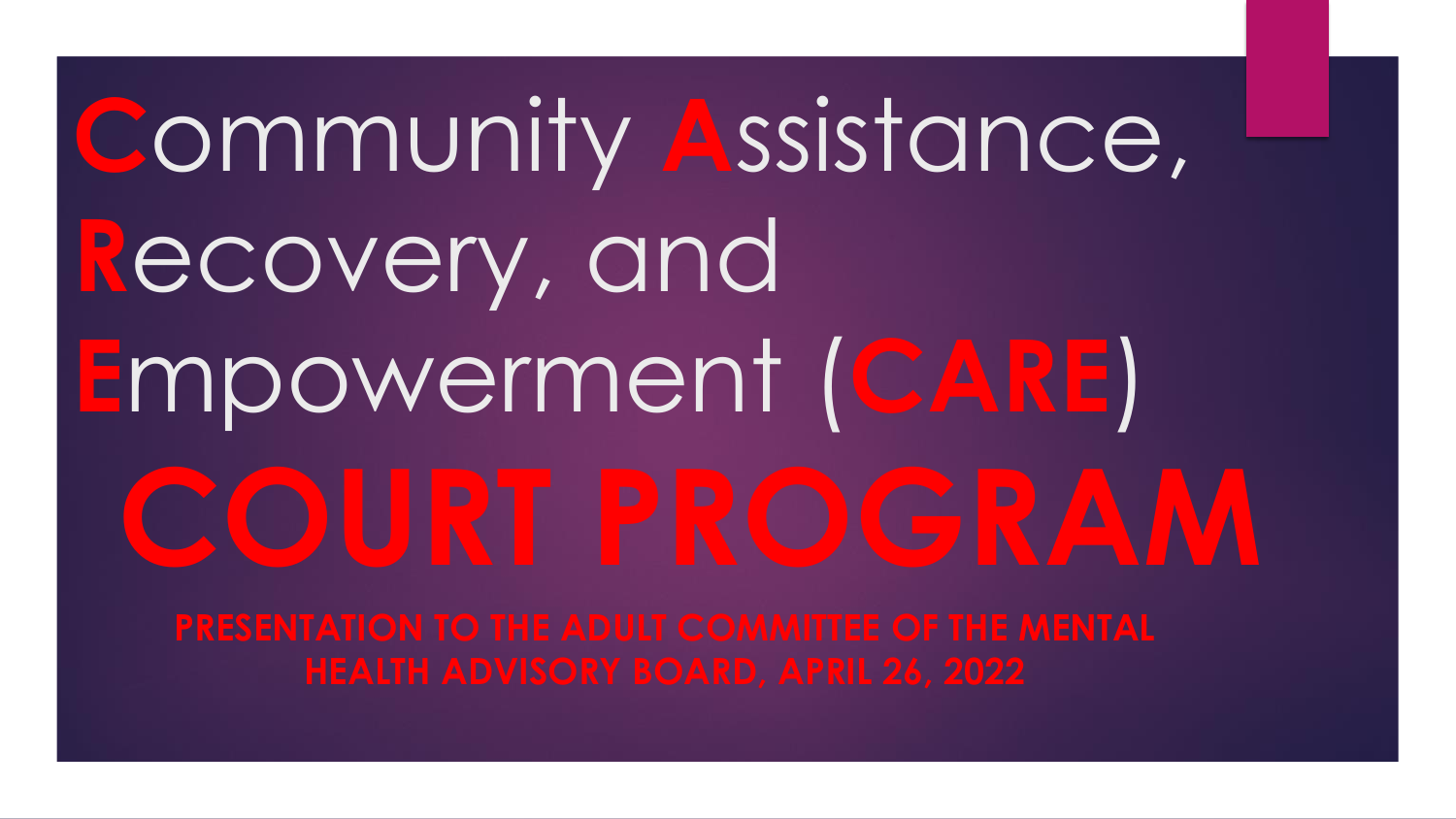# **C**ommunity **A**ssistance, **R**ecovery, and **E**mpowerment (**CARE**) **COURT PROGRAM**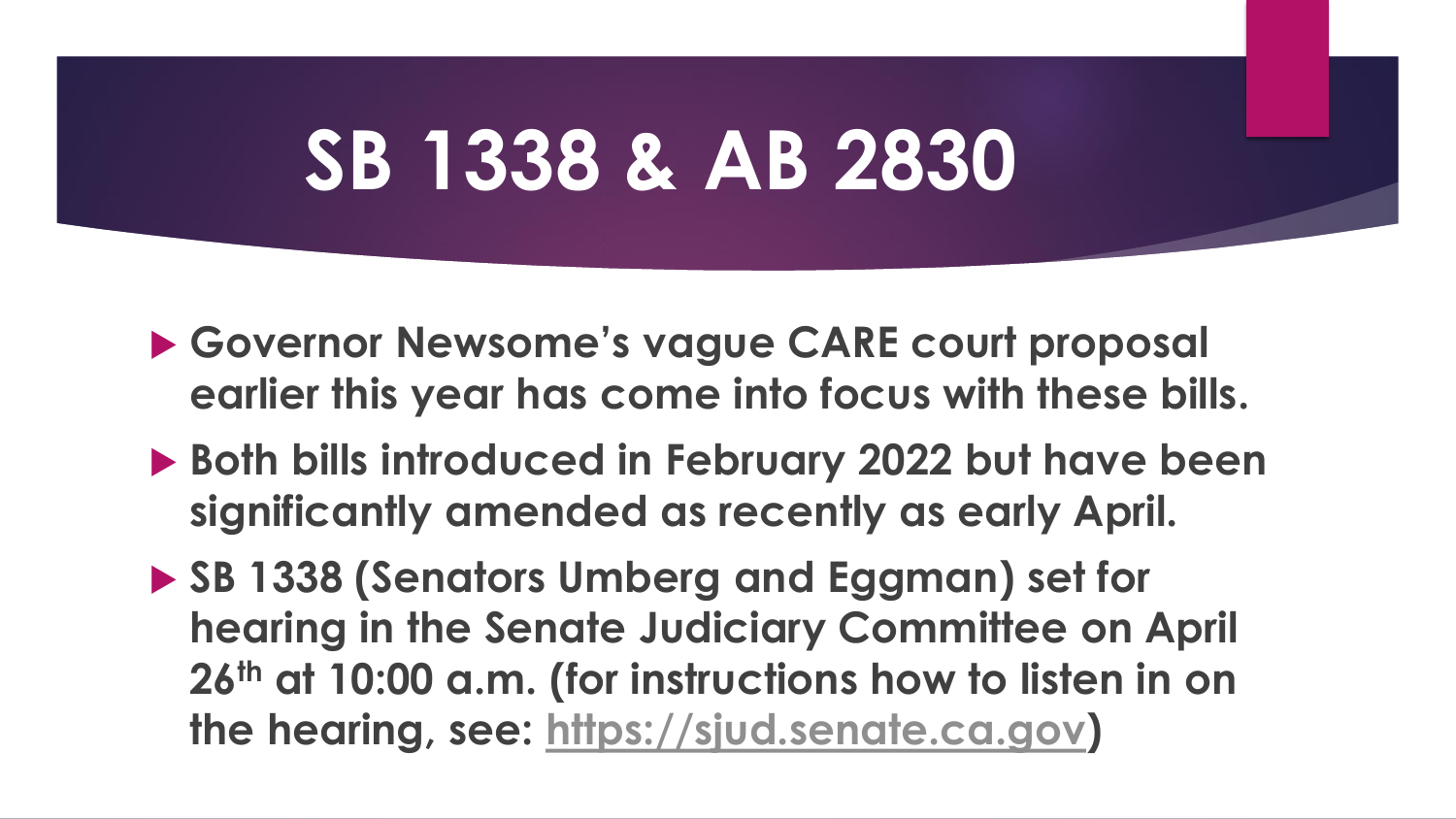# **SB 1338 & AB 2830**

- **Governor Newsome's vague CARE court proposal earlier this year has come into focus with these bills.**
- ▶ Both bills introduced in February 2022 but have been **significantly amended as recently as early April.**
- ▶ SB 1338 (Senators Umberg and Eggman) set for **hearing in the Senate Judiciary Committee on April 26th at 10:00 a.m. (for instructions how to listen in on the hearing, see: [https://sjud.senate.ca.gov](https://sjud.senate.ca.gov/))**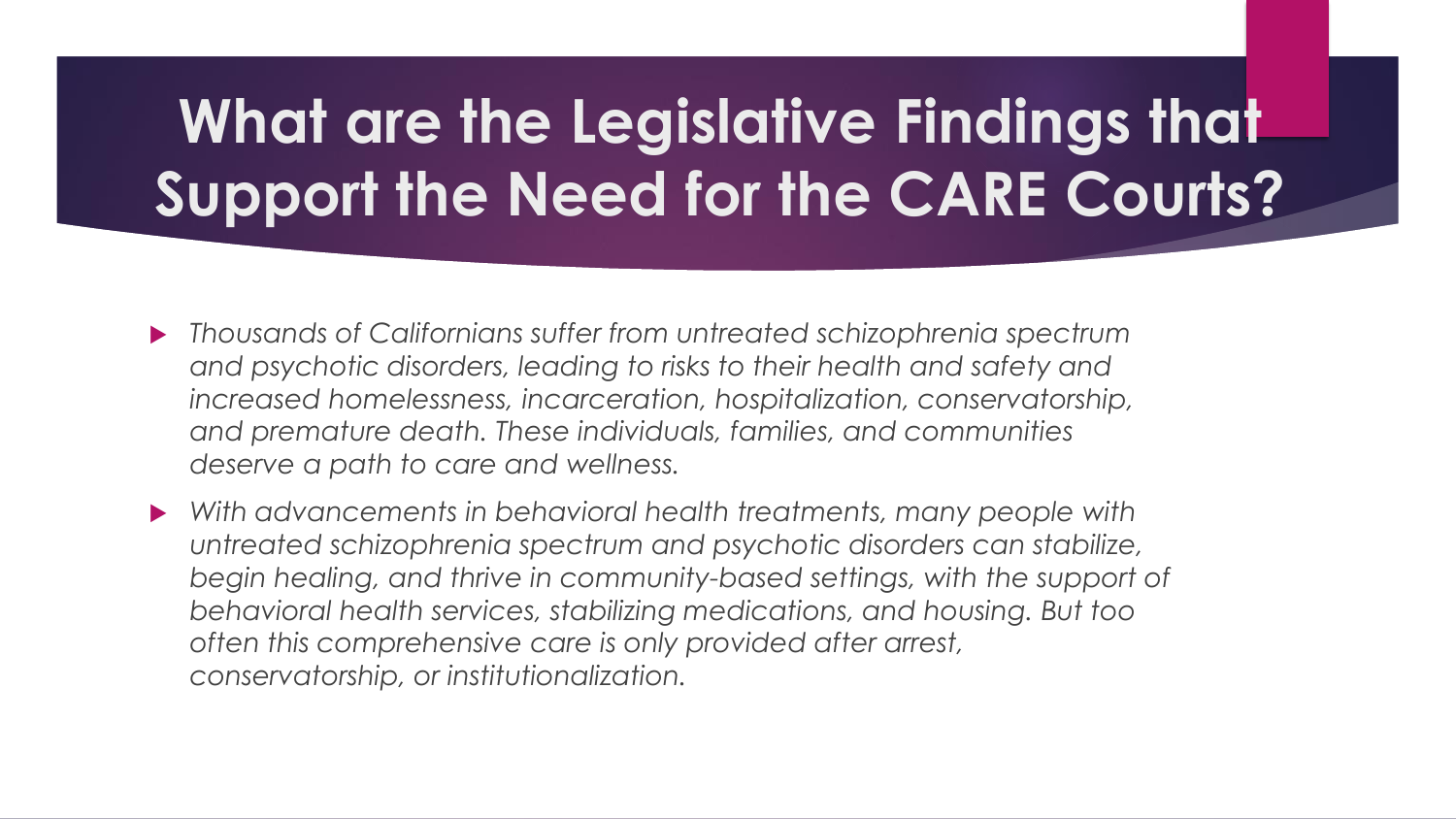# **What are the Legislative Findings that Support the Need for the CARE Courts?**

- *Thousands of Californians suffer from untreated schizophrenia spectrum and psychotic disorders, leading to risks to their health and safety and increased homelessness, incarceration, hospitalization, conservatorship, and premature death. These individuals, families, and communities deserve a path to care and wellness.*
- *With advancements in behavioral health treatments, many people with untreated schizophrenia spectrum and psychotic disorders can stabilize,*  begin healing, and thrive in community-based settings, with the support of *behavioral health services, stabilizing medications, and housing. But too often this comprehensive care is only provided after arrest, conservatorship, or institutionalization.*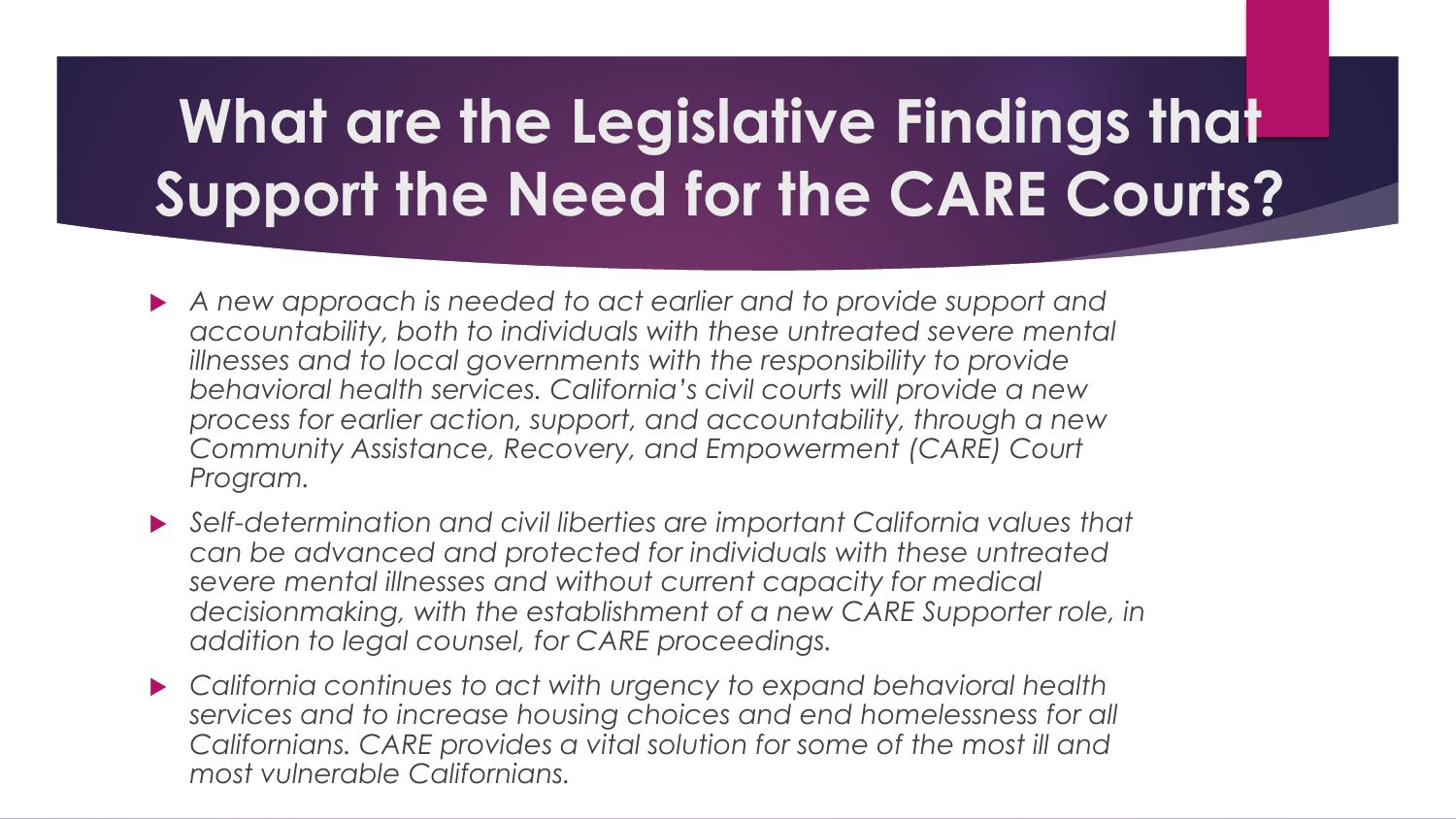# **What are the Legislative Findings that Support the Need for the CARE Courts?**

- *A new approach is needed to act earlier and to provide support and accountability, both to individuals with these untreated severe mental illnesses and to local governments with the responsibility to provide behavioral health services. California's civil courts will provide a new process for earlier action, support, and accountability, through a new Community Assistance, Recovery, and Empowerment (CARE) Court Program.*
- *Self-determination and civil liberties are important California values that can be advanced and protected for individuals with these untreated severe mental illnesses and without current capacity for medical*  decisionmaking, with the establishment of a new CARE Supporter role, in *addition to legal counsel, for CARE proceedings.*
- *California continues to act with urgency to expand behavioral health services and to increase housing choices and end homelessness for all Californians. CARE provides a vital solution for some of the most ill and most vulnerable Californians.*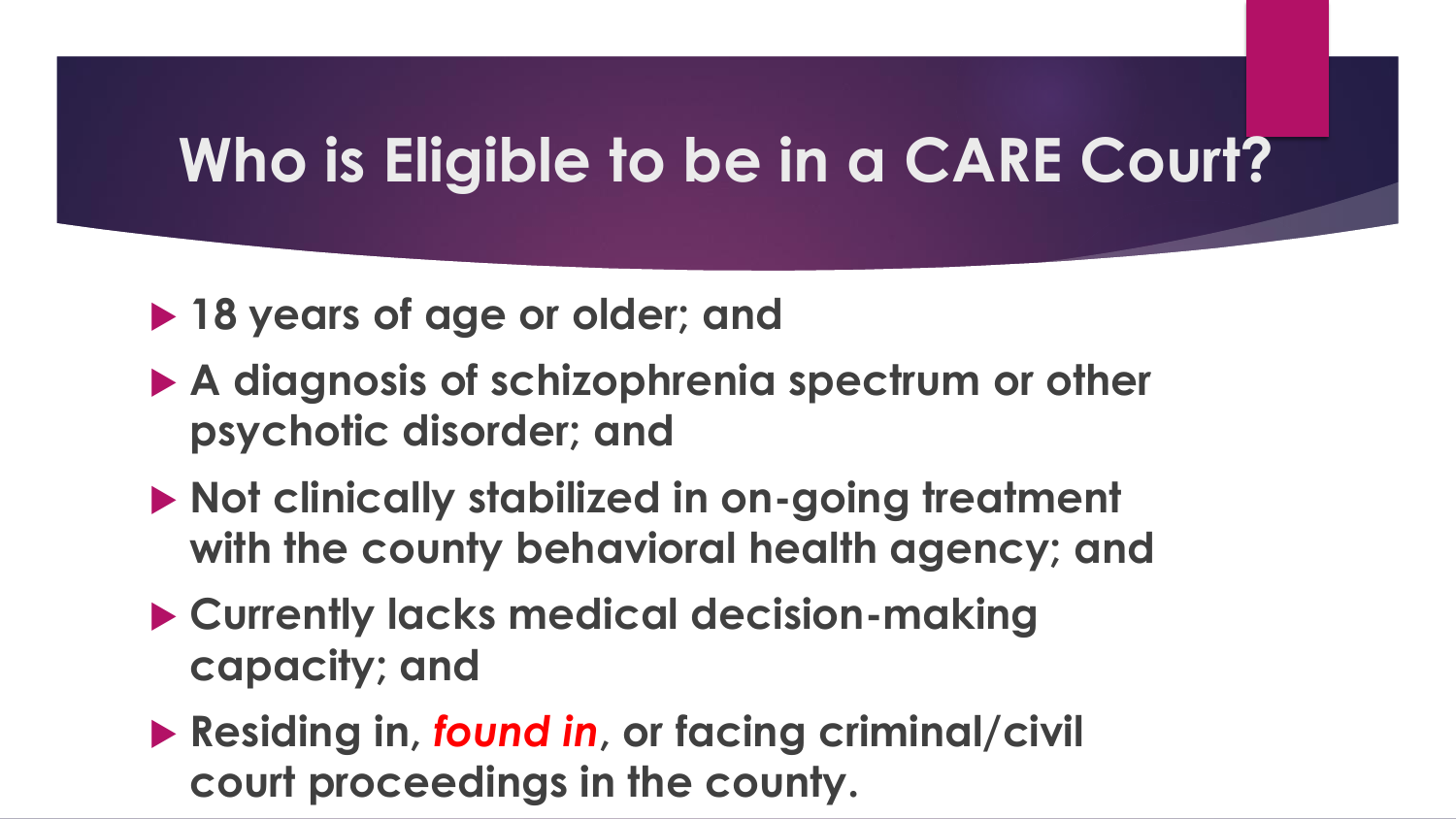#### **Who is Eligible to be in a CARE Court?**

#### ▶ 18 years of age or older; and

- **A diagnosis of schizophrenia spectrum or other psychotic disorder; and**
- ▶ Not clinically stabilized in on-going treatment **with the county behavioral health agency; and**
- **Currently lacks medical decision-making capacity; and**
- **Residing in,** *found in***, or facing criminal/civil court proceedings in the county.**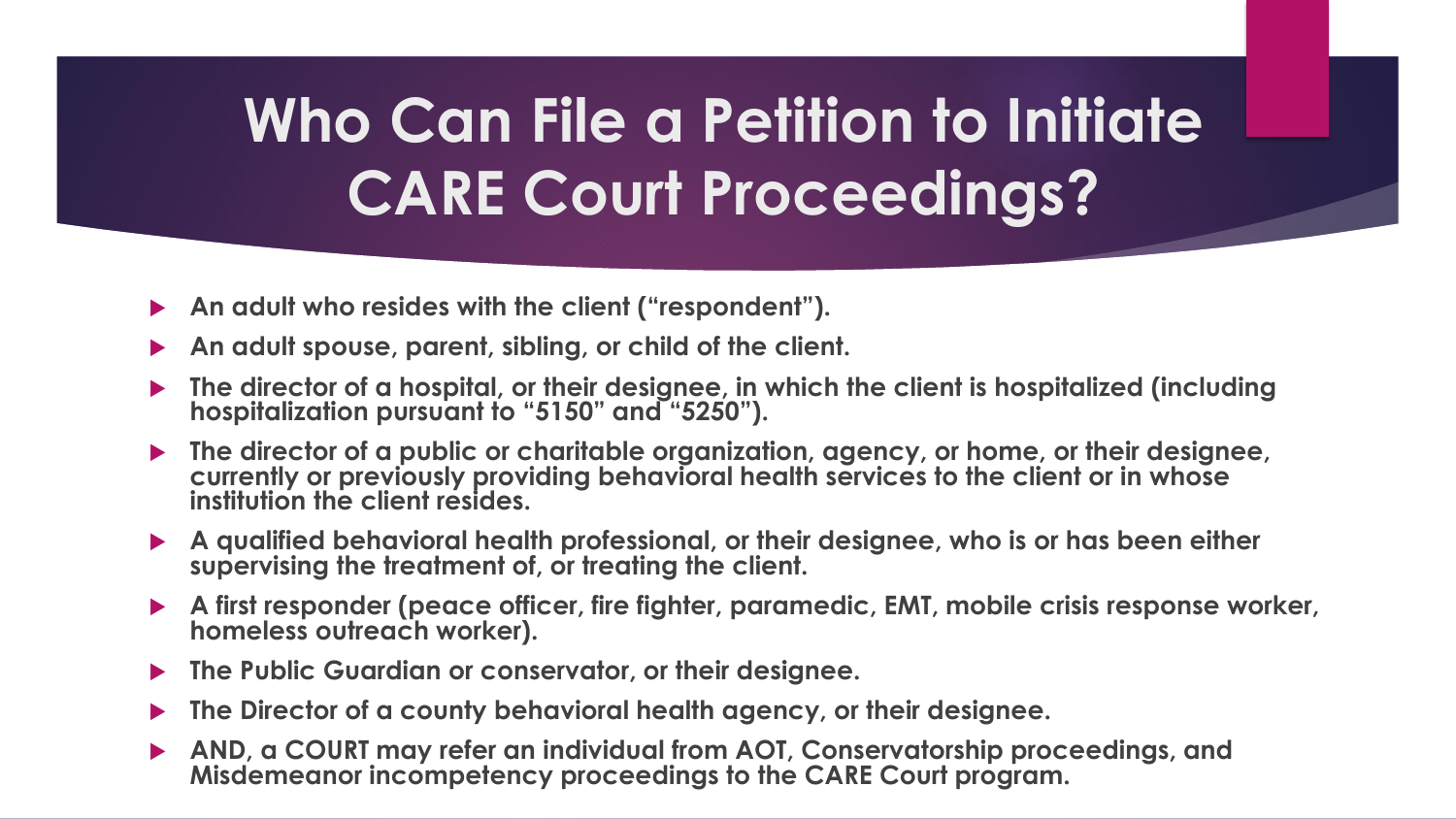# **Who Can File a Petition to Initiate CARE Court Proceedings?**

- **An adult who resides with the client ("respondent").**
- **An adult spouse, parent, sibling, or child of the client.**
- **The director of a hospital, or their designee, in which the client is hospitalized (including hospitalization pursuant to "5150" and "5250").**
- **The director of a public or charitable organization, agency, or home, or their designee, currently or previously providing behavioral health services to the client or in whose institution the client resides.**
- **A qualified behavioral health professional, or their designee, who is or has been either supervising the treatment of, or treating the client.**
- **A first responder (peace officer, fire fighter, paramedic, EMT, mobile crisis response worker, homeless outreach worker).**
- **The Public Guardian or conservator, or their designee.**
- **The Director of a county behavioral health agency, or their designee.**
- **AND, a COURT may refer an individual from AOT, Conservatorship proceedings, and Misdemeanor incompetency proceedings to the CARE Court program.**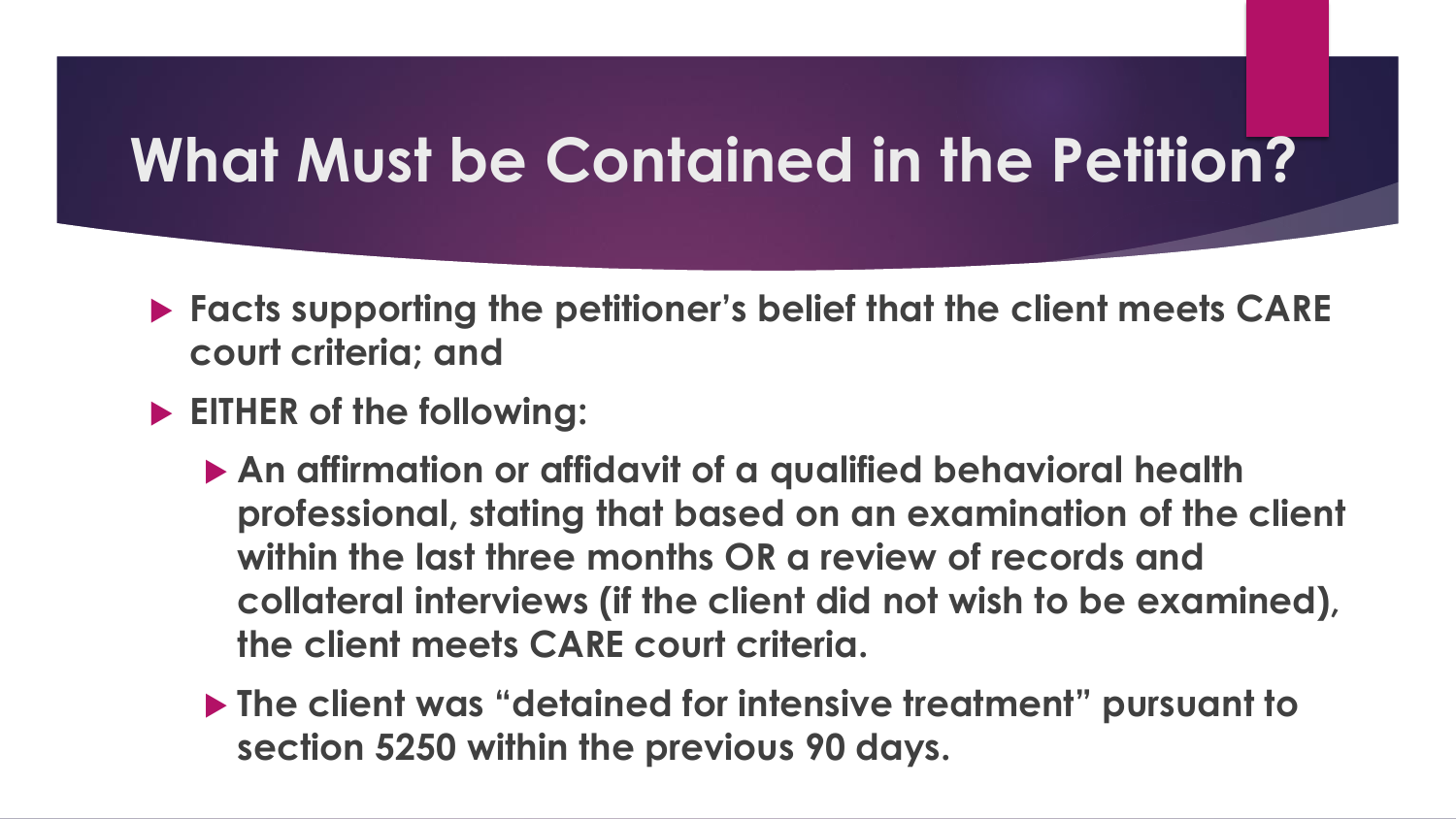#### **What Must be Contained in the Petition?**

- ▶ Facts supporting the petitioner's belief that the client meets CARE **court criteria; and**
- **EITHER of the following:**
	- **An affirmation or affidavit of a qualified behavioral health professional, stating that based on an examination of the client within the last three months OR a review of records and collateral interviews (if the client did not wish to be examined), the client meets CARE court criteria.**
	- **The client was "detained for intensive treatment" pursuant to section 5250 within the previous 90 days.**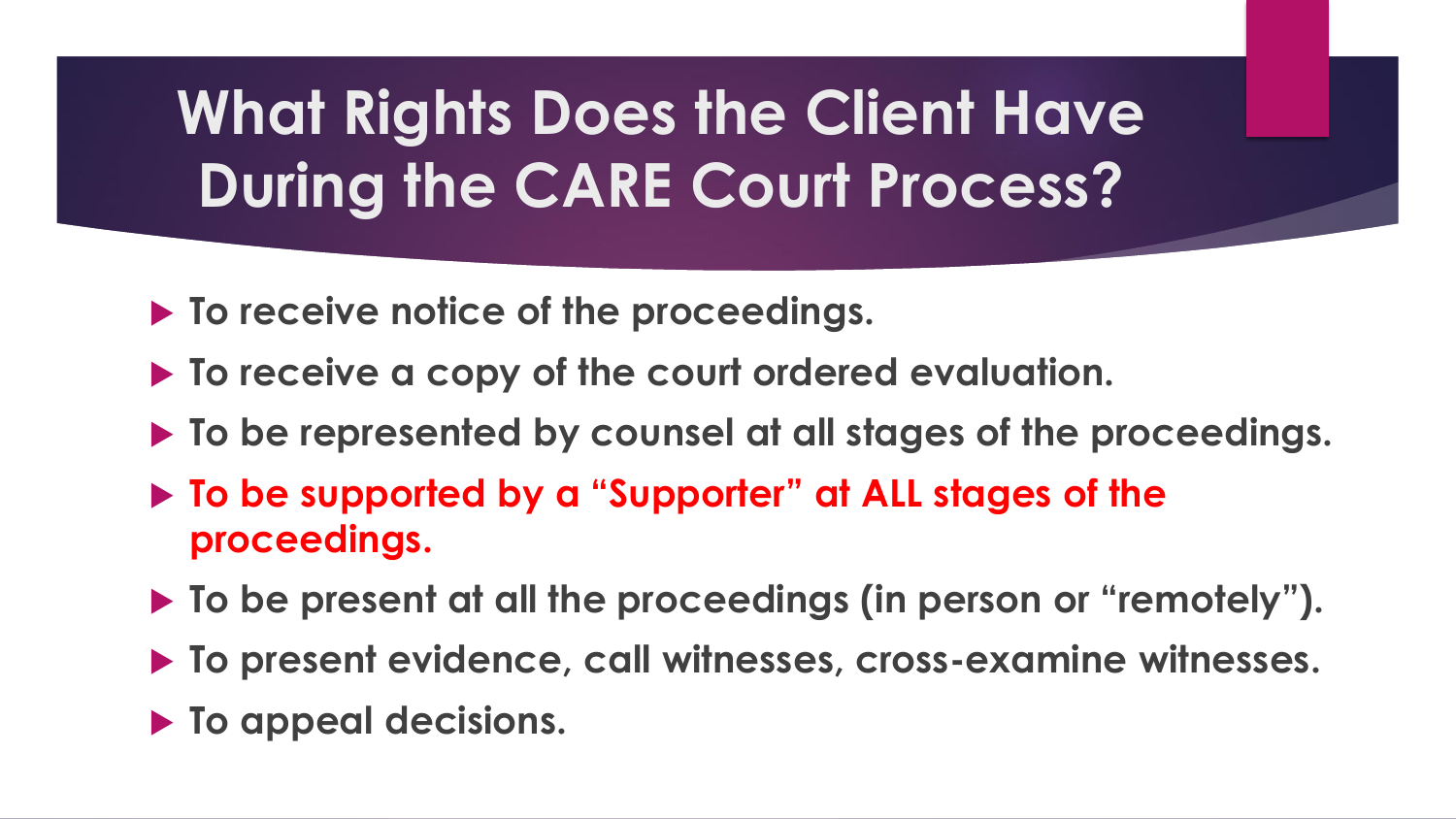# **What Rights Does the Client Have During the CARE Court Process?**

- **To receive notice of the proceedings.**
- **To receive a copy of the court ordered evaluation.**
- **To be represented by counsel at all stages of the proceedings.**
- **To be supported by a "Supporter" at ALL stages of the proceedings.**
- **To be present at all the proceedings (in person or "remotely").**
- **To present evidence, call witnesses, cross-examine witnesses.**
- **To appeal decisions.**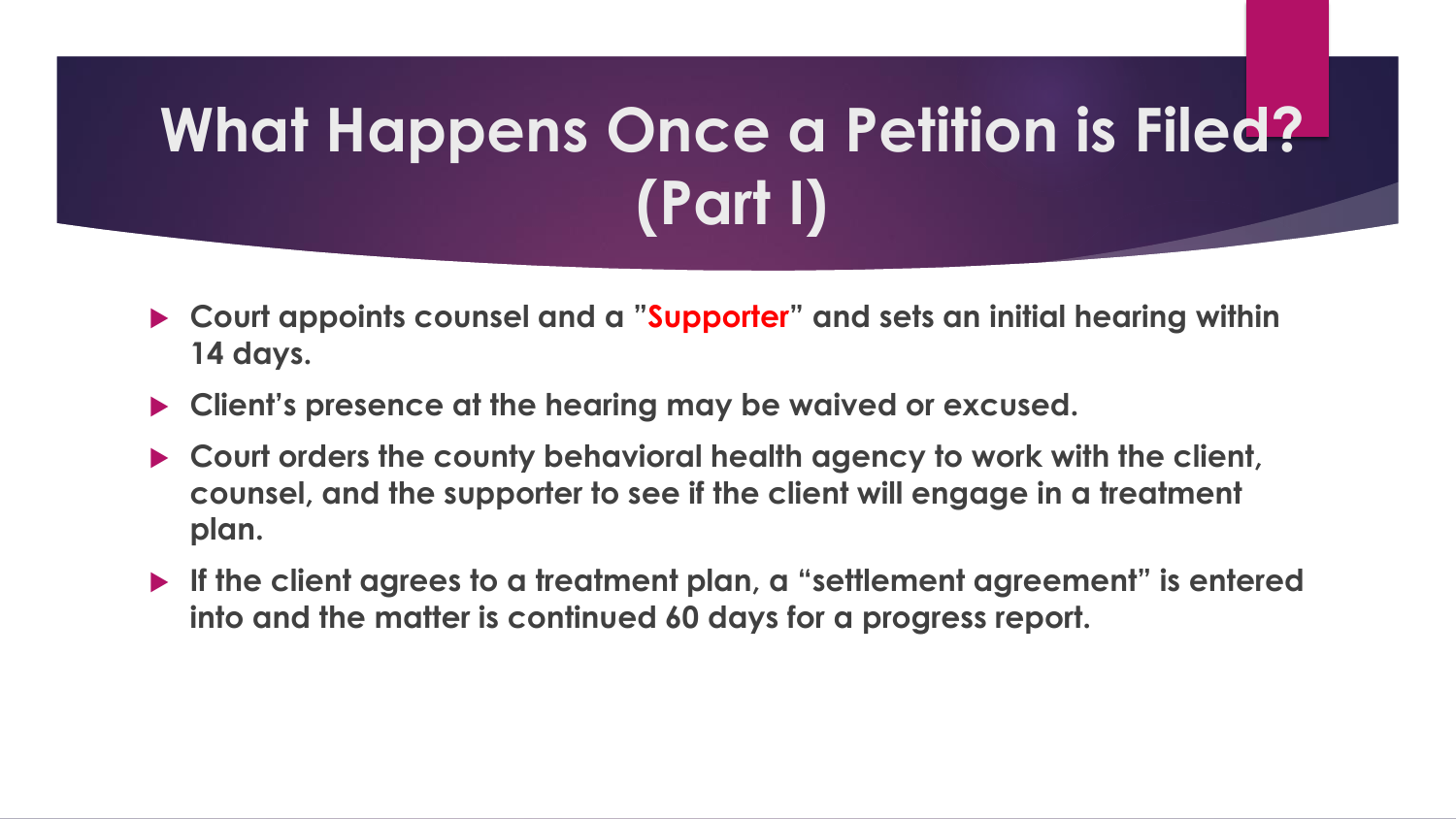# **What Happens Once a Petition is Filed? (Part I)**

- **Court appoints counsel and a "Supporter" and sets an initial hearing within 14 days.**
- **Client's presence at the hearing may be waived or excused.**
- **Court orders the county behavioral health agency to work with the client, counsel, and the supporter to see if the client will engage in a treatment plan.**
- **If the client agrees to a treatment plan, a "settlement agreement" is entered into and the matter is continued 60 days for a progress report.**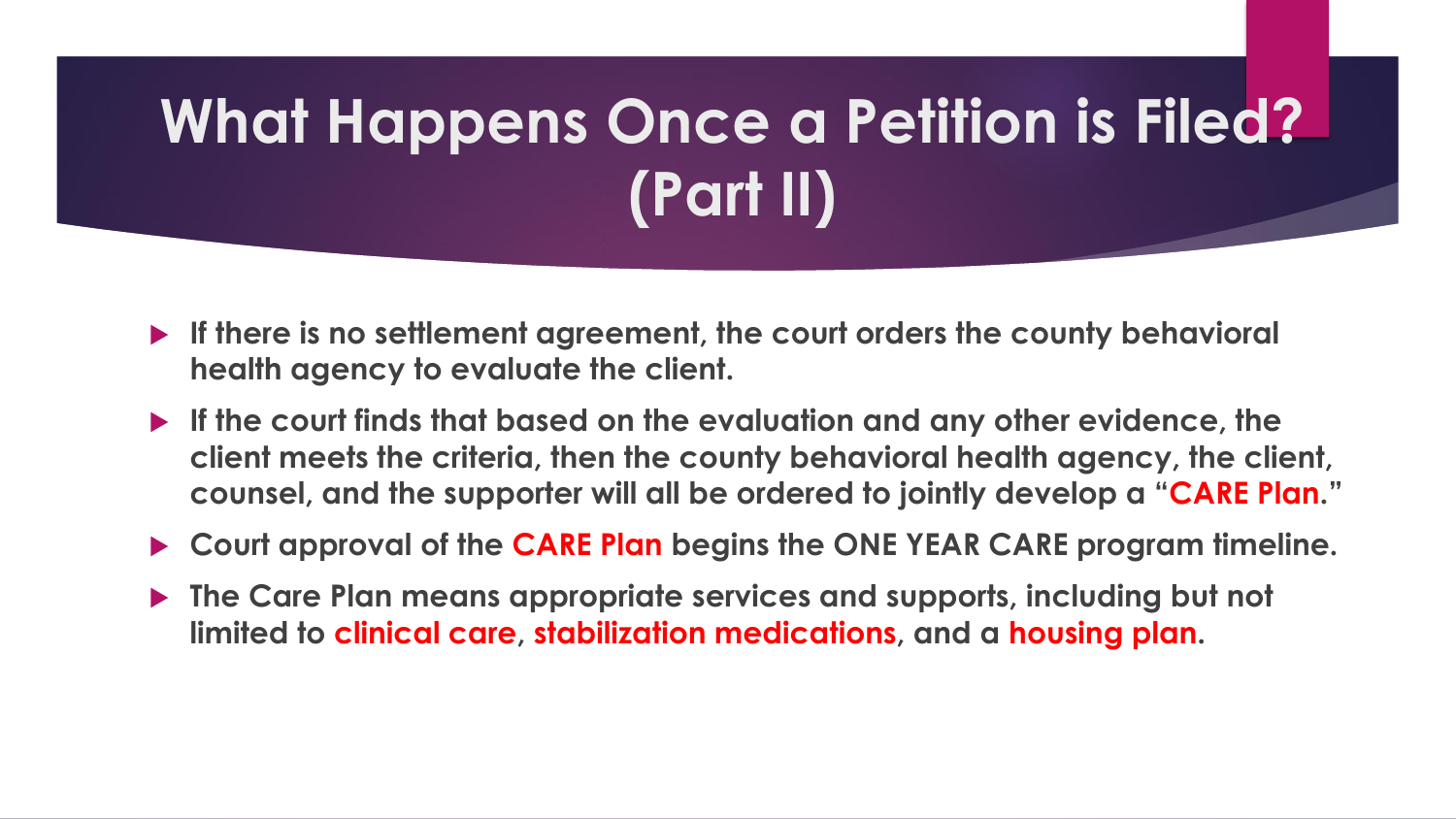# **What Happens Once a Petition is Filed? (Part II)**

- **If there is no settlement agreement, the court orders the county behavioral health agency to evaluate the client.**
- **If the court finds that based on the evaluation and any other evidence, the client meets the criteria, then the county behavioral health agency, the client, counsel, and the supporter will all be ordered to jointly develop a "CARE Plan."**
- **Court approval of the CARE Plan begins the ONE YEAR CARE program timeline.**
- **The Care Plan means appropriate services and supports, including but not limited to clinical care, stabilization medications, and a housing plan.**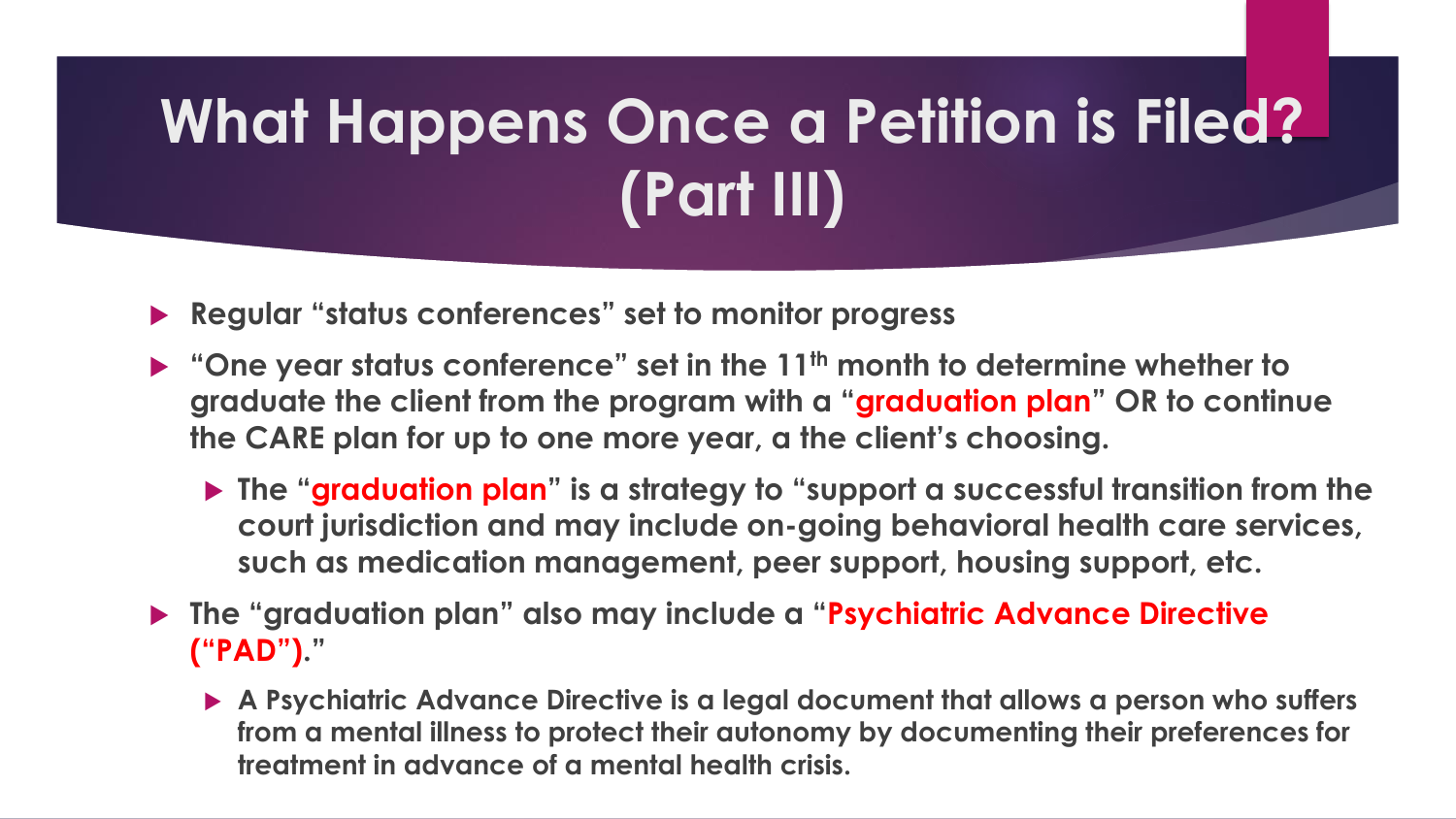# **What Happens Once a Petition is Filed? (Part III)**

**Regular "status conferences" set to monitor progress**

- **"One year status conference" set in the 11th month to determine whether to graduate the client from the program with a "graduation plan" OR to continue the CARE plan for up to one more year, a the client's choosing.**
	- **The "graduation plan" is a strategy to "support a successful transition from the court jurisdiction and may include on-going behavioral health care services, such as medication management, peer support, housing support, etc.**
- **The "graduation plan" also may include a "Psychiatric Advance Directive ("PAD")."**
	- **A Psychiatric Advance Directive is a legal document that allows a person who suffers from a mental illness to protect their autonomy by documenting their preferences for treatment in advance of a mental health crisis.**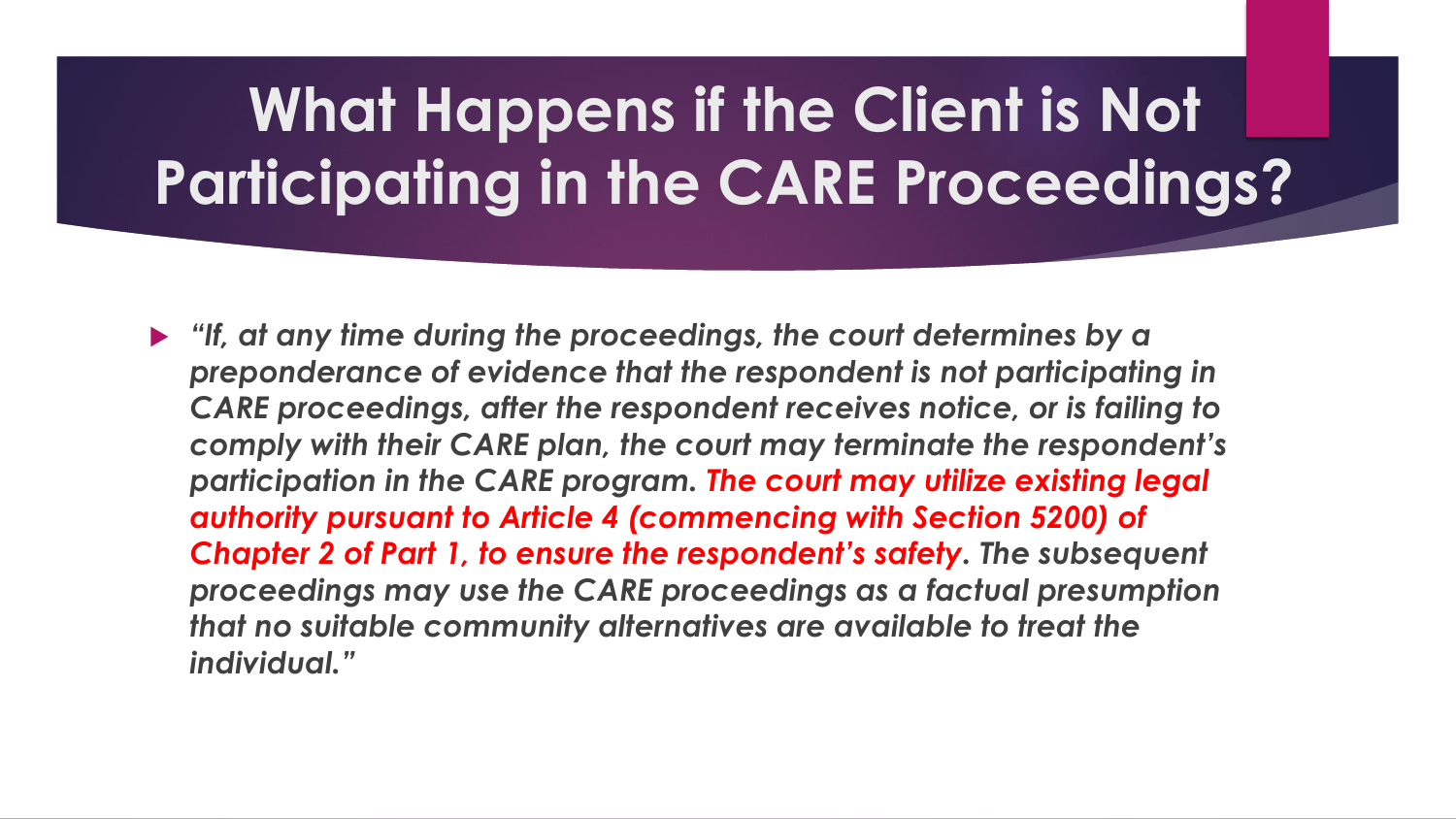# **What Happens if the Client is Not Participating in the CARE Proceedings?**

 *"If, at any time during the proceedings, the court determines by a preponderance of evidence that the respondent is not participating in CARE proceedings, after the respondent receives notice, or is failing to comply with their CARE plan, the court may terminate the respondent's participation in the CARE program. The court may utilize existing legal authority pursuant to Article 4 (commencing with Section 5200) of Chapter 2 of Part 1, to ensure the respondent's safety. The subsequent proceedings may use the CARE proceedings as a factual presumption that no suitable community alternatives are available to treat the individual."*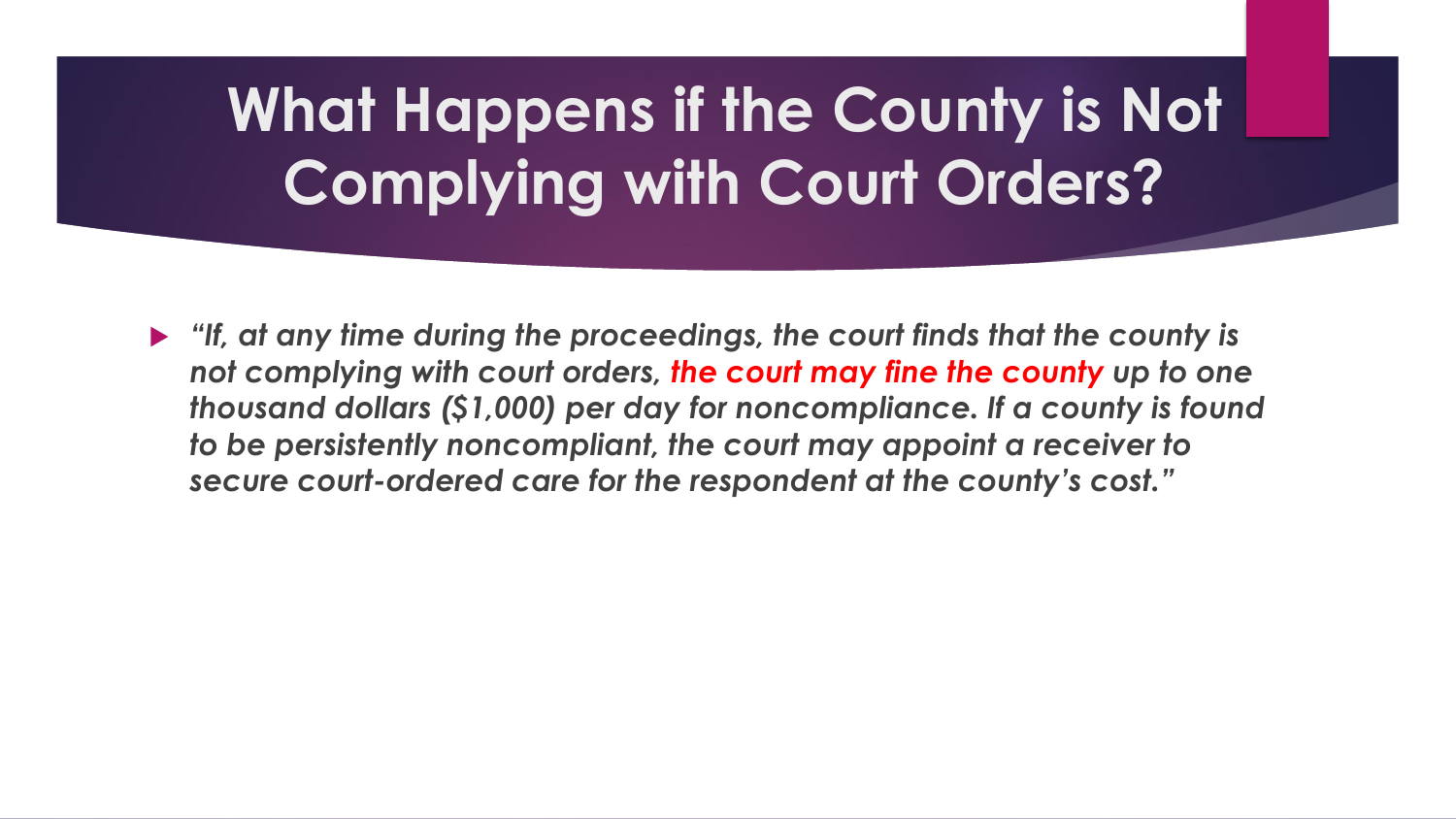# **What Happens if the County is Not Complying with Court Orders?**

 *"If, at any time during the proceedings, the court finds that the county is not complying with court orders, the court may fine the county up to one thousand dollars (\$1,000) per day for noncompliance. If a county is found to be persistently noncompliant, the court may appoint a receiver to secure court-ordered care for the respondent at the county's cost."*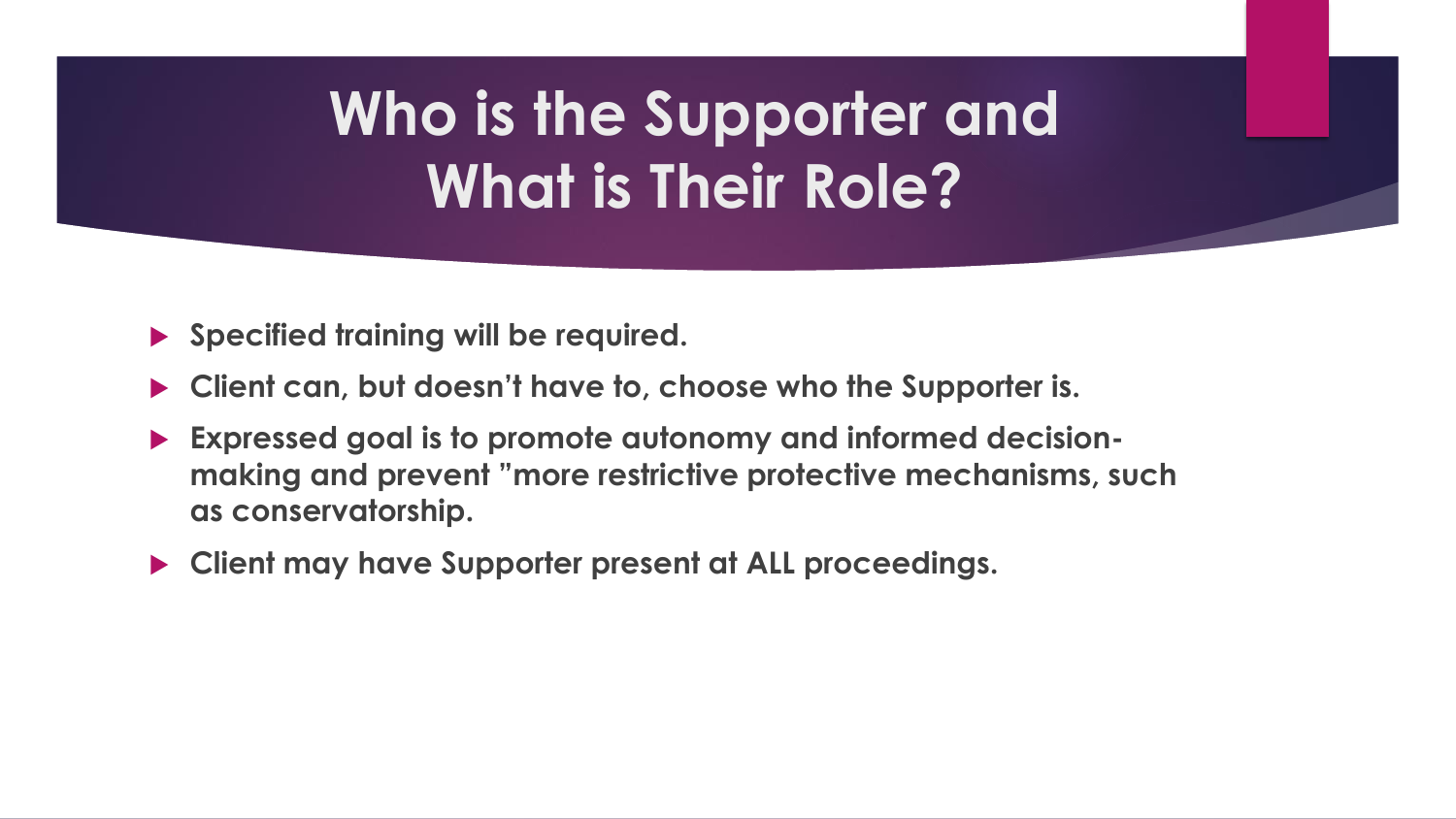# **Who is the Supporter and What is Their Role?**

- **Specified training will be required.**
- **Client can, but doesn't have to, choose who the Supporter is.**
- **Expressed goal is to promote autonomy and informed decisionmaking and prevent "more restrictive protective mechanisms, such as conservatorship.**
- **Client may have Supporter present at ALL proceedings.**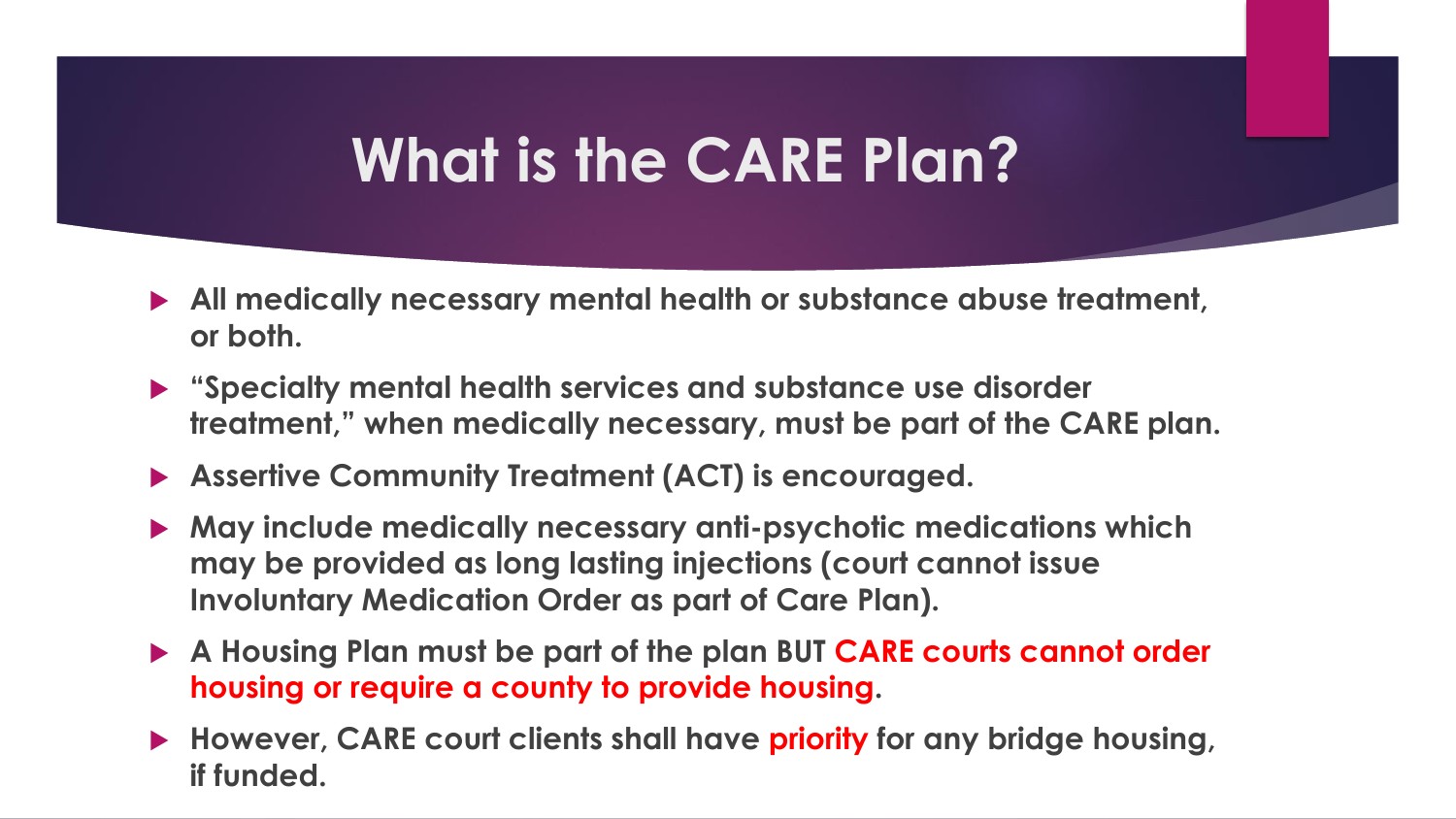#### **What is the CARE Plan?**

- **All medically necessary mental health or substance abuse treatment, or both.**
- **"Specialty mental health services and substance use disorder treatment," when medically necessary, must be part of the CARE plan.**
- **Assertive Community Treatment (ACT) is encouraged.**
- **May include medically necessary anti-psychotic medications which may be provided as long lasting injections (court cannot issue Involuntary Medication Order as part of Care Plan).**
- **A Housing Plan must be part of the plan BUT CARE courts cannot order housing or require a county to provide housing.**
- **However, CARE court clients shall have priority for any bridge housing, if funded.**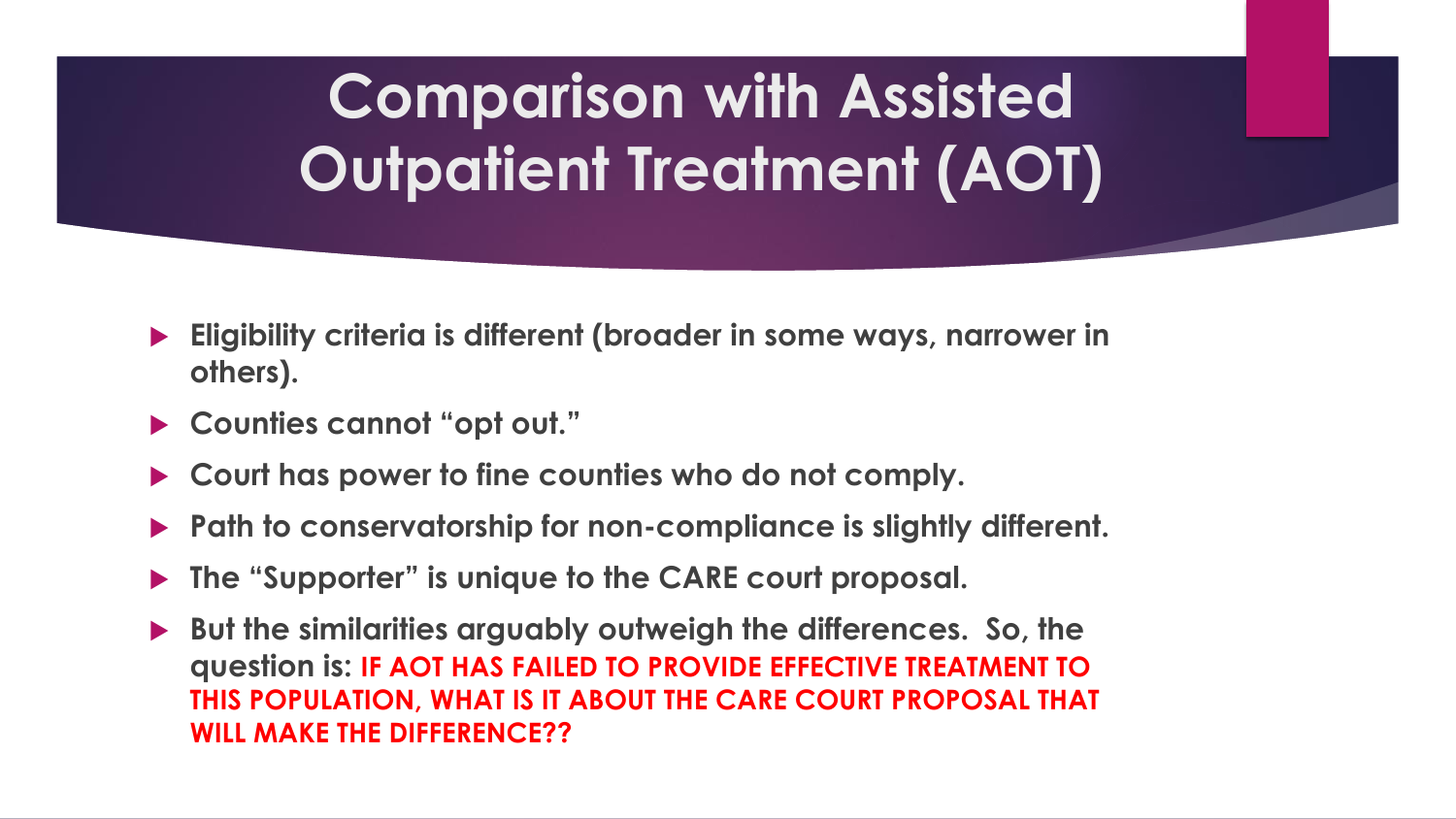# **Comparison with Assisted Outpatient Treatment (AOT)**

- **Eligibility criteria is different (broader in some ways, narrower in others).**
- **Counties cannot "opt out."**
- **Court has power to fine counties who do not comply.**
- **Path to conservatorship for non-compliance is slightly different.**
- **The "Supporter" is unique to the CARE court proposal.**
- **But the similarities arguably outweigh the differences. So, the question is: IF AOT HAS FAILED TO PROVIDE EFFECTIVE TREATMENT TO THIS POPULATION, WHAT IS IT ABOUT THE CARE COURT PROPOSAL THAT WILL MAKE THE DIFFERENCE??**